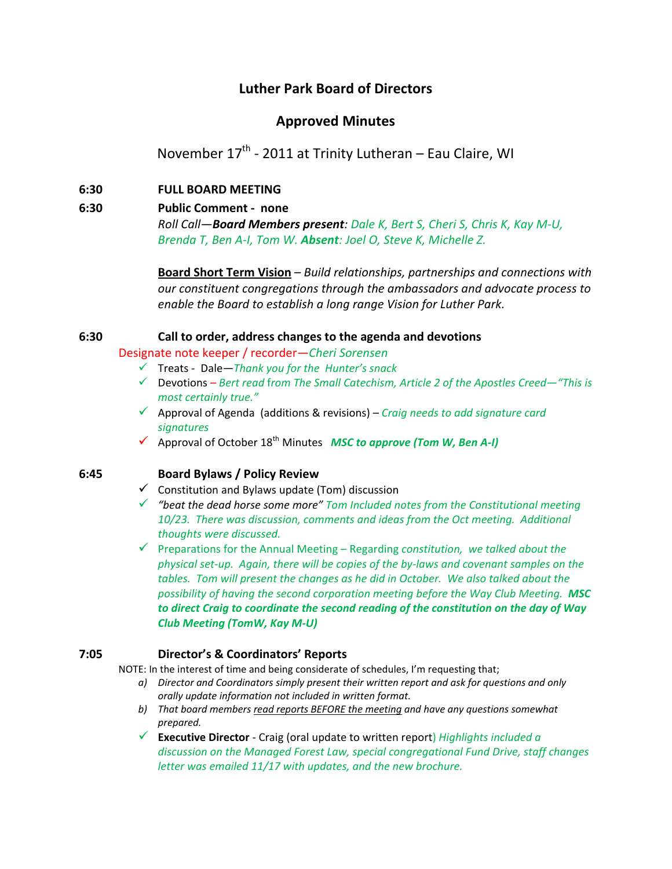# **Luther Park Board of Directors**

## **Approved Minutes**

November  $17<sup>th</sup>$  - 2011 at Trinity Lutheran – Eau Claire, WI

## **6:30 FULL BOARD MEETING**

# **6:30 Public Comment ‐ none**

*Roll Call—Board Members present: Dale K, Bert S, Cheri S, Chris K, Kay M‐U, Brenda T, Ben A‐I, Tom W. Absent: Joel O, Steve K, Michelle Z.*

**Board Short Term Vision** – *Build relationships, partnerships and connections with our constituent congregations through the ambassadors and advocate process to enable the Board to establish a long range Vision for Luther Park.*

## **6:30 Call to order, address changes to the agenda and devotions**

Designate note keeper / recorder—*Cheri Sorensen*

- Treats ‐ Dale—*Thank you for the Hunter's snack*
- Devotions *– Bert read* f*rom The Small Catechism, Article 2 of the Apostles Creed—"This is most certainly true."*
- Approval of Agenda (additions & revisions) *– Craig needs to add signature card signatures*
- Approval of October 18th Minutes*MSC to approve (Tom W, Ben A‐I)*

## **6:45 Board Bylaws / Policy Review**

- $\checkmark$  Constitution and Bylaws update (Tom) discussion
- *"beat the dead horse some more" Tom Included notes from the Constitutional meeting 10/23. There was discussion, comments and ideas from the Oct meeting. Additional thoughts were discussed.*
- Preparations for the Annual Meeting Regarding *constitution, we talked about the* physical set-up. Again, there will be copies of the by-laws and covenant samples on the *tables. Tom will present the changes as he did in October. We also talked about the possibility of having the second corporation meeting before the Way Club Meeting. MSC to direct Craig to coordinate the second reading of the constitution on the day of Way Club Meeting (TomW, Kay M‐U)*

#### **7:05 Director's & Coordinators' Reports**

NOTE: In the interest of time and being considerate of schedules, I'm requesting that;

- *a) Director and Coordinators simply present their written report and ask for questions and only orally update information not included in written format.*
- *b) That board members read reports BEFORE the meeting and have any questions somewhat prepared.*
- **Executive Director** ‐ Craig (oral update to written report) *Highlights included a discussion on the Managed Forest Law, special congregational Fund Drive, staff changes letter was emailed 11/17 with updates, and the new brochure.*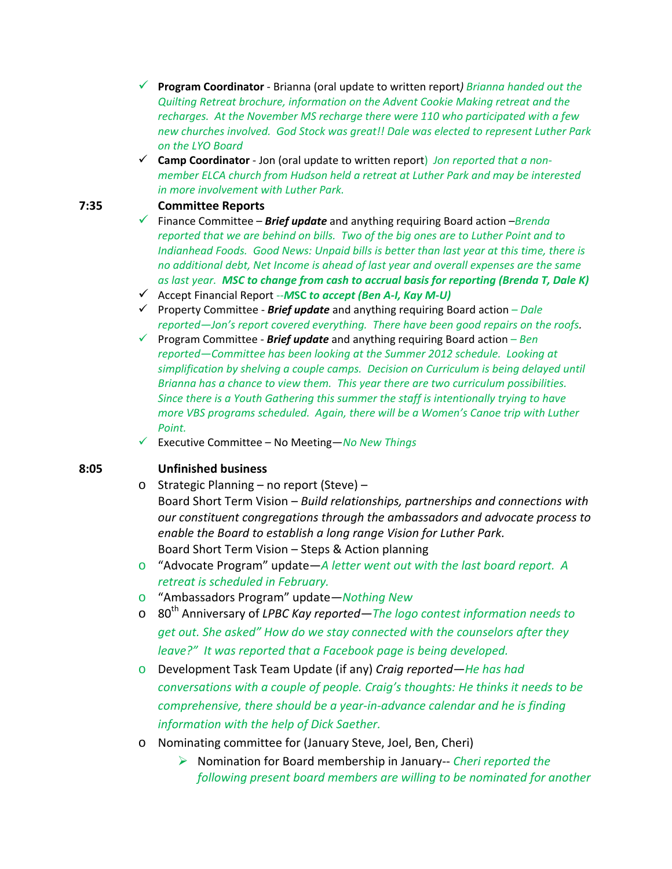- **Program Coordinator** ‐ Brianna (oral update to written report*) Brianna handed out the Quilting Retreat brochure, information on the Advent Cookie Making retreat and the recharges. At the November MS recharge there were 110 who participated with a few new churches involved. God Stock was great!! Dale was elected to represent Luther Park on the LYO Board*
- **Camp Coordinator** ‐ Jon (oral update to written report) *Jon reported that a non‐ member ELCA church from Hudson held a retreat at Luther Park and may be interested in more involvement with Luther Park.*

## **7:35 Committee Reports**

- Finance Committee *Brief update* and anything requiring Board action –*Brenda reported that we are behind on bills. Two of the big ones are to Luther Point and to Indianhead Foods. Good News: Unpaid bills is better than last year at this time, there is no additional debt, Net Income is ahead of last year and overall expenses are the same as last year. MSC to change from cash to accrual basis for reporting (Brenda T, Dale K)*
- Accept Financial Report ‐‐*M***SC** *to accept (Ben A‐I, Kay M‐U)*
- Property Committee ‐ *Brief update* and anything requiring Board action *– Dale reported—Jon's report covered everything. There have been good repairs on the roofs.*
- Program Committee ‐ *Brief update* and anything requiring Board action *Ben reported—Committee has been looking at the Summer 2012 schedule. Looking at simplification by shelving a couple camps. Decision on Curriculum is being delayed until Brianna has a chance to view them. This year there are two curriculum possibilities. Since there is a Youth Gathering this summer the staff is intentionally trying to have more VBS programs scheduled. Again, there will be a Women's Canoe trip with Luther Point.*
- Executive Committee No Meeting—*No New Things*

## **8:05 Unfinished business**

- o Strategic Planning no report (Steve) Board Short Term Vision – *Build relationships, partnerships and connections with our constituent congregations through the ambassadors and advocate process to enable the Board to establish a long range Vision for Luther Park.* Board Short Term Vision – Steps & Action planning
- o "Advocate Program" update—*A letter went out with the last board report. A retreat is scheduled in February.*
- o "Ambassadors Program" update*—Nothing New*
- o 80th Anniversary of *LPBC Kay reported—The logo contest information needs to get out. She asked" How do we stay connected with the counselors after they leave?" It was reported that a Facebook page is being developed.*
- o Development Task Team Update (if any) *Craig reported—He has had conversations with a couple of people. Craig's thoughts: He thinks it needs to be comprehensive, there should be a year‐in‐advance calendar and he is finding information with the help of Dick Saether.*
- o Nominating committee for (January Steve, Joel, Ben, Cheri)
	- Nomination for Board membership in January‐‐ *Cheri reported the following present board members are willing to be nominated for another*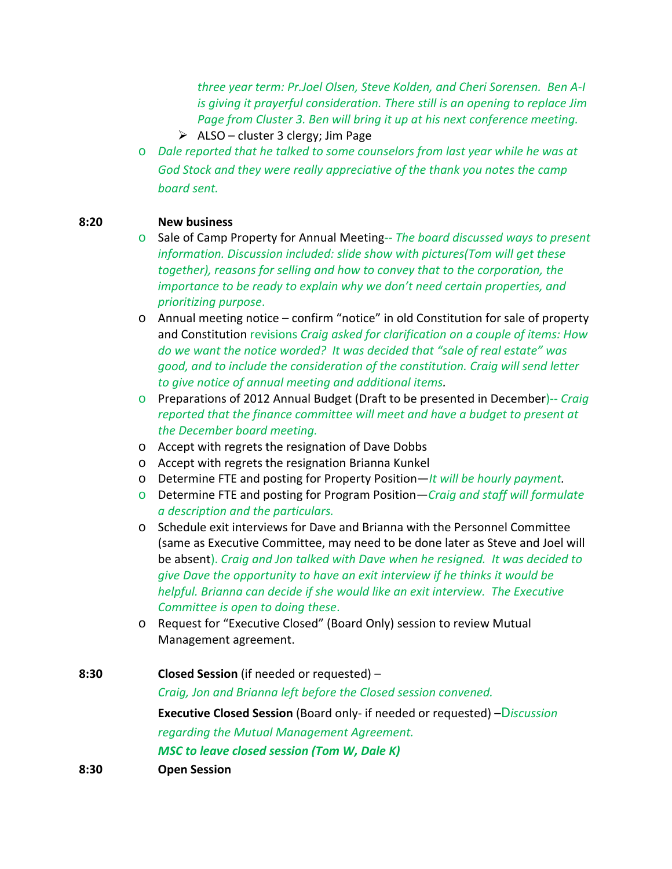*three year term: Pr.Joel Olsen, Steve Kolden, and Cheri Sorensen. Ben A‐I is giving it prayerful consideration. There still is an opening to replace Jim Page from Cluster 3. Ben will bring it up at his next conference meeting.*

- $\triangleright$  ALSO cluster 3 clergy; Jim Page
- o *Dale reported that he talked to some counselors from last year while he was at God Stock and they were really appreciative of the thank you notes the camp board sent.*

#### **8:20 New business**

- o Sale of Camp Property for Annual Meeting‐‐ *The board discussed ways to present information. Discussion included: slide show with pictures(Tom will get these together), reasons for selling and how to convey that to the corporation, the importance to be ready to explain why we don't need certain properties, and prioritizing purpose*.
- $\circ$  Annual meeting notice confirm "notice" in old Constitution for sale of property and Constitution revisions *Craig asked for clarification on a couple of items: How do we want the notice worded? It was decided that "sale of real estate" was good, and to include the consideration of the constitution. Craig will send letter to give notice of annual meeting and additional items.*
- o Preparations of 2012 Annual Budget (Draft to be presented in December)‐‐ *Craig reported that the finance committee will meet and have a budget to present at the December board meeting.*
- o Accept with regrets the resignation of Dave Dobbs
- o Accept with regrets the resignation Brianna Kunkel
- o Determine FTE and posting for Property Position—*It will be hourly payment.*
- o Determine FTE and posting for Program Position—*Craig and staff will formulate a description and the particulars.*
- o Schedule exit interviews for Dave and Brianna with the Personnel Committee (same as Executive Committee, may need to be done later as Steve and Joel will be absent). *Craig and Jon talked with Dave when he resigned. It was decided to give Dave the opportunity to have an exit interview if he thinks it would be helpful. Brianna can decide if she would like an exit interview. The Executive Committee is open to doing these*.
- o Request for "Executive Closed" (Board Only) session to review Mutual Management agreement.
- **8:30 Closed Session** (if needed or requested) *Craig, Jon and Brianna left before the Closed session convened.* **Executive Closed Session** (Board only‐ if needed or requested) –D*iscussion regarding the Mutual Management Agreement.*   *MSC to leave closed session (Tom W, Dale K)* **8:30 Open Session**